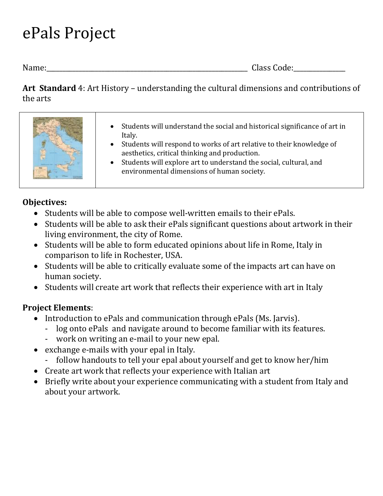## ePals Project

Name:\_\_\_\_\_\_\_\_\_\_\_\_\_\_\_\_\_\_\_\_\_\_\_\_\_\_\_\_\_\_\_\_\_\_\_\_\_\_\_\_\_\_\_\_\_\_\_\_\_\_\_\_\_\_\_\_\_\_\_\_\_\_ Class Code:\_\_\_\_\_\_\_\_\_\_\_\_\_\_\_\_

Art Standard 4: Art History – understanding the cultural dimensions and contributions of the arts

| Students will understand the social and historical significance of art in<br>$\bullet$<br>Italy.<br>• Students will respond to works of art relative to their knowledge of<br>aesthetics, critical thinking and production.<br>Students will explore art to understand the social, cultural, and<br>environmental dimensions of human society. |
|------------------------------------------------------------------------------------------------------------------------------------------------------------------------------------------------------------------------------------------------------------------------------------------------------------------------------------------------|
|------------------------------------------------------------------------------------------------------------------------------------------------------------------------------------------------------------------------------------------------------------------------------------------------------------------------------------------------|

## Objectives:

- Students will be able to compose well-written emails to their ePals.
- Students will be able to ask their ePals significant questions about artwork in their living environment, the city of Rome.
- Students will be able to form educated opinions about life in Rome, Italy in comparison to life in Rochester, USA.
- Students will be able to critically evaluate some of the impacts art can have on human society.
- Students will create art work that reflects their experience with art in Italy

## Project Elements:

- Introduction to ePals and communication through ePals (Ms. Jarvis).
	- log onto ePals and navigate around to become familiar with its features.
	- work on writing an e-mail to your new epal.
- exchange e-mails with your epal in Italy.
	- follow handouts to tell your epal about yourself and get to know her/him
- Create art work that reflects your experience with Italian art
- Briefly write about your experience communicating with a student from Italy and about your artwork.